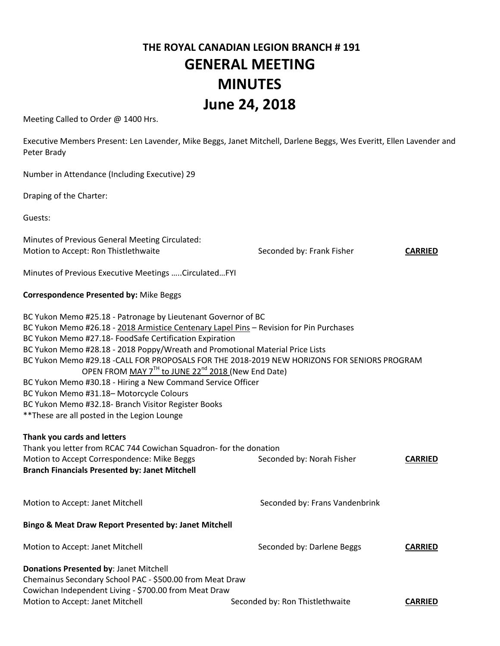# **THE ROYAL CANADIAN LEGION BRANCH # 191 GENERAL MEETING MINUTES June 24, 2018**

Meeting Called to Order @ 1400 Hrs.

Executive Members Present: Len Lavender, Mike Beggs, Janet Mitchell, Darlene Beggs, Wes Everitt, Ellen Lavender and Peter Brady

Number in Attendance (Including Executive) 29

Draping of the Charter:

Guests:

Minutes of Previous General Meeting Circulated: Motion to Accept: Ron Thistlethwaite **Seconded by: Frank Fisher CARRIED** 

Minutes of Previous Executive Meetings …..Circulated…FYI

#### **Correspondence Presented by:** Mike Beggs

| BC Yukon Memo #29.18 -CALL FOR PROPOSALS FOR THE 2018-2019 NEW HORIZONS FOR SENIORS PROGRAM |
|---------------------------------------------------------------------------------------------|
|                                                                                             |
|                                                                                             |
|                                                                                             |
|                                                                                             |
|                                                                                             |
|                                                                                             |
|                                                                                             |

## **Thank you cards and letters**  Thank you letter from RCAC 744 Cowichan Squadron- for the donation Motion to Accept Correspondence: Mike Beggs Seconded by: Norah Fisher **CARRIED Branch Financials Presented by: Janet Mitchell**

Motion to Accept: Janet Mitchell Seconded by: Frans Vandenbrink

#### **Bingo & Meat Draw Report Presented by: Janet Mitchell**

Motion to Accept: Janet Mitchell **Seconded by: Darlene Beggs CARRIED Donations Presented by**: Janet Mitchell Chemainus Secondary School PAC - \$500.00 from Meat Draw Cowichan Independent Living - \$700.00 from Meat Draw Motion to Accept: Janet Mitchell **Seconded by: Ron Thistlethwaite CARRIED**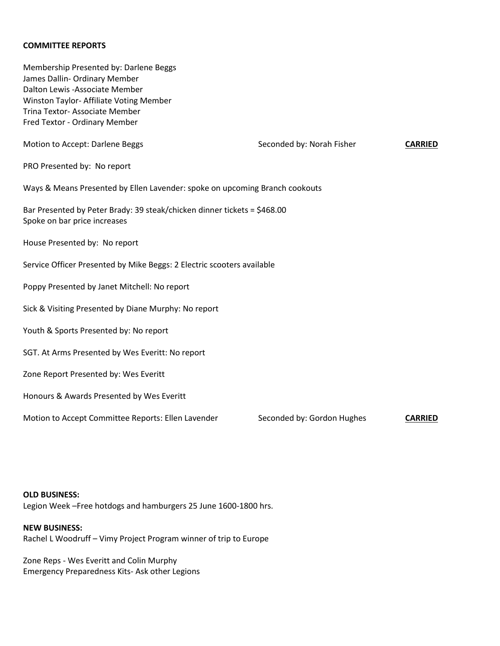#### **COMMITTEE REPORTS**

Membership Presented by: Darlene Beggs James Dallin- Ordinary Member Dalton Lewis -Associate Member Winston Taylor- Affiliate Voting Member Trina Textor- Associate Member Fred Textor - Ordinary Member Motion to Accept: Darlene Beggs **Seconded by: Norah Fisher CARRIED** PRO Presented by: No report Ways & Means Presented by Ellen Lavender: spoke on upcoming Branch cookouts Bar Presented by Peter Brady: 39 steak/chicken dinner tickets = \$468.00 Spoke on bar price increases House Presented by: No report Service Officer Presented by Mike Beggs: 2 Electric scooters available Poppy Presented by Janet Mitchell: No report Sick & Visiting Presented by Diane Murphy: No report Youth & Sports Presented by: No report SGT. At Arms Presented by Wes Everitt: No report Zone Report Presented by: Wes Everitt Honours & Awards Presented by Wes Everitt \_\_\_\_\_\_\_\_\_\_\_\_\_\_\_\_\_\_\_\_\_\_\_\_\_\_\_\_\_\_\_\_\_\_\_\_\_\_ Motion to Accept Committee Reports: Ellen Lavender Seconded by: Gordon Hughes **CARRIED** 

#### **OLD BUSINESS:**

Legion Week –Free hotdogs and hamburgers 25 June 1600-1800 hrs.

### **NEW BUSINESS:**

Rachel L Woodruff – Vimy Project Program winner of trip to Europe

Zone Reps - Wes Everitt and Colin Murphy Emergency Preparedness Kits- Ask other Legions